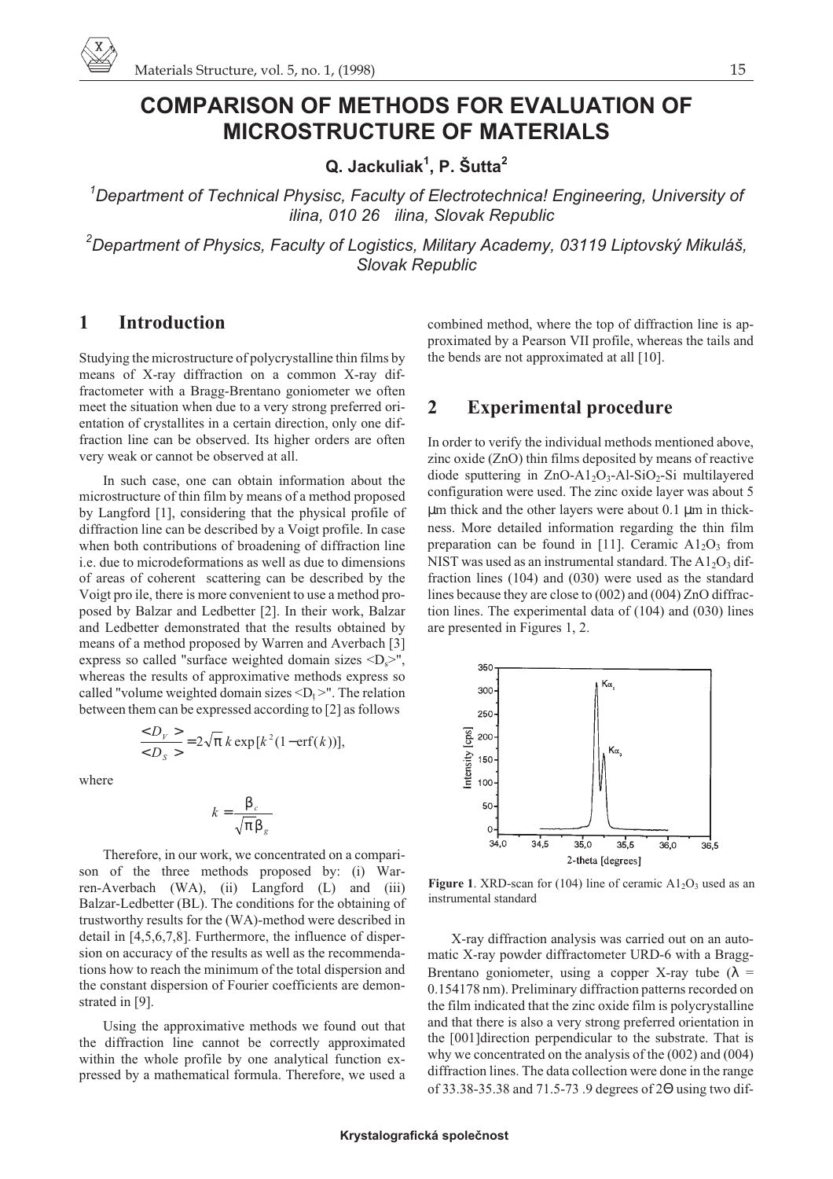# **COMPARISON OF METHODS FOR EVALUATION OF MICROSTRUCTURE OF MATERIALS**

**Q. Jackuliak1 , P. Šutta<sup>2</sup>**

*1 Department of Technical Physisc, Faculty of Electrotechnica! Engineering, University of ilina, 010 26 ilina, Slovak Republic*

*2 Department of Physics, Faculty of Logistics, Military Academy, 03119 Liptovský Mikuláš, Slovak Republic*

### **1 Introduction**

Studying the microstructure of polycrystalline thin films by means of X-ray diffraction on a common X-ray diffractometer with a Bragg-Brentano goniometer we often meet the situation when due to a very strong preferred orientation of crystallites in a certain direction, only one diffraction line can be observed. Its higher orders are often very weak or cannot be observed at all.

In such case, one can obtain information about the microstructure of thin film by means of a method proposed by Langford [1], considering that the physical profile of diffraction line can be described by a Voigt profile. In case when both contributions of broadening of diffraction line i.e. due to microdeformations as well as due to dimensions of areas of coherent scattering can be described by the Voigt pro ile, there is more convenient to use a method proposed by Balzar and Ledbetter [2]. In their work, Balzar and Ledbetter demonstrated that the results obtained by means of a method proposed by Warren and Averbach [3] express so called "surface weighted domain sizes  $\langle D_s \rangle$ ", whereas the results of approximative methods express so called "volume weighted domain sizes  $\langle D_t \rangle$ ". The relation between them can be expressed according to [2] as follows

$$
\frac{}{} = 2\sqrt{\pi} k \exp[k^2(1-\text{erf}(k))],
$$

where

$$
k = \frac{\beta_c}{\sqrt{\pi} \beta_g}
$$

Therefore, in our work, we concentrated on a comparison of the three methods proposed by: (i) Warren-Averbach (WA), (ii) Langford (L) and (iii) Balzar-Ledbetter (BL). The conditions for the obtaining of trustworthy results for the (WA)-method were described in detail in [4,5,6,7,8]. Furthermore, the influence of dispersion on accuracy of the results as well as the recommendations how to reach the minimum of the total dispersion and the constant dispersion of Fourier coefficients are demonstrated in [9].

Using the approximative methods we found out that the diffraction line cannot be correctly approximated within the whole profile by one analytical function expressed by a mathematical formula. Therefore, we used a combined method, where the top of diffraction line is approximated by a Pearson VII profile, whereas the tails and the bends are not approximated at all [10].

#### **2 Experimental procedure**

In order to verify the individual methods mentioned above, zinc oxide (ZnO) thin films deposited by means of reactive diode sputtering in  $ZnO-A1_2O_3-A1-SiO_2-Si$  multilayered configuration were used. The zinc oxide layer was about 5 µm thick and the other layers were about 0.1 µm in thickness. More detailed information regarding the thin film preparation can be found in [11]. Ceramic  $A1_2O_3$  from NIST was used as an instrumental standard. The  $A1_2O_3$  diffraction lines (104) and (030) were used as the standard lines because they are close to (002) and (004) ZnO diffraction lines. The experimental data of (104) and (030) lines are presented in Figures 1, 2.



**Figure 1.** XRD-scan for (104) line of ceramic  $A1_2O_3$  used as an instrumental standard

X-ray diffraction analysis was carried out on an automatic X-ray powder diffractometer URD-6 with a Bragg-Brentano goniometer, using a copper X-ray tube ( $\lambda$  = 0.154178 nm). Preliminary diffraction patterns recorded on the film indicated that the zinc oxide film is polycrystalline and that there is also a very strong preferred orientation in the [001]direction perpendicular to the substrate. That is why we concentrated on the analysis of the (002) and (004) diffraction lines. The data collection were done in the range of 33.38-35.38 and 71.5-73 .9 degrees of 2Θ using two dif-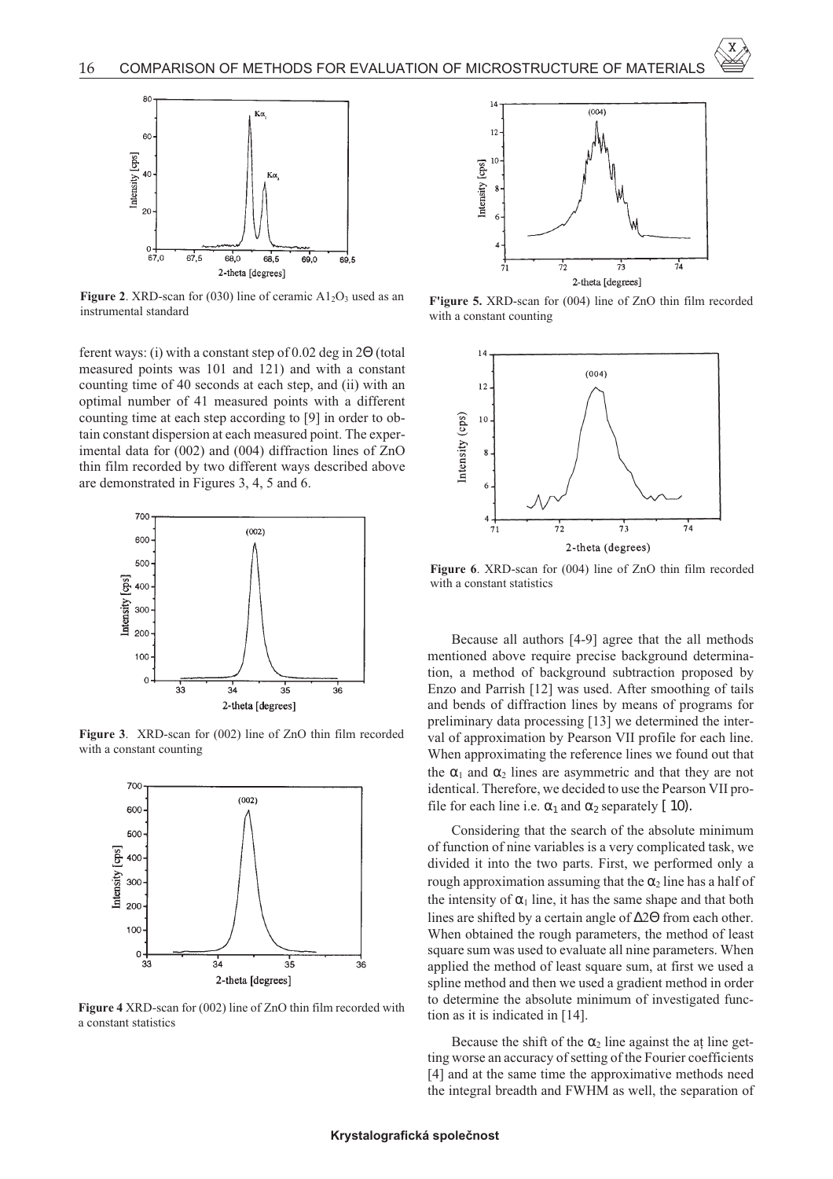

**Figure 2.** XRD-scan for (030) line of ceramic  $A1_2O_3$  used as an instrumental standard

ferent ways: (i) with a constant step of 0.02 deg in 2Θ (total measured points was 101 and 121) and with a constant counting time of 40 seconds at each step, and (ii) with an optimal number of 41 measured points with a different counting time at each step according to [9] in order to obtain constant dispersion at each measured point. The experimental data for (002) and (004) diffraction lines of ZnO thin film recorded by two different ways described above are demonstrated in Figures 3, 4, 5 and 6.



**Figure 3**. XRD-scan for (002) line of ZnO thin film recorded with a constant counting



**Figure 4** XRD-scan for (002) line of ZnO thin film recorded with a constant statistics



**F'igure 5.** XRD-scan for (004) line of ZnO thin film recorded with a constant counting



**Figure 6**. XRD-scan for (004) line of ZnO thin film recorded with a constant statistics

Because all authors [4-9] agree that the all methods mentioned above require precise background determination, a method of background subtraction proposed by Enzo and Parrish [12] was used. After smoothing of tails and bends of diffraction lines by means of programs for preliminary data processing [13] we determined the interval of approximation by Pearson VII profile for each line. When approximating the reference lines we found out that the  $\alpha_1$  and  $\alpha_2$  lines are asymmetric and that they are not identical. Therefore, we decided to use the Pearson VII profile for each line i.e.  $\alpha_1$  and  $\alpha_2$  separately [ 10).

Considering that the search of the absolute minimum of function of nine variables is a very complicated task, we divided it into the two parts. First, we performed only a rough approximation assuming that the  $\alpha_2$  line has a half of the intensity of  $\alpha_1$  line, it has the same shape and that both lines are shifted by a certain angle of ∆2Θ from each other. When obtained the rough parameters, the method of least square sum was used to evaluate all nine parameters. When applied the method of least square sum, at first we used a spline method and then we used a gradient method in order to determine the absolute minimum of investigated function as it is indicated in [14].

Because the shift of the  $\alpha_2$  line against the at line getting worse an accuracy of setting of the Fourier coefficients [4] and at the same time the approximative methods need the integral breadth and FWHM as well, the separation of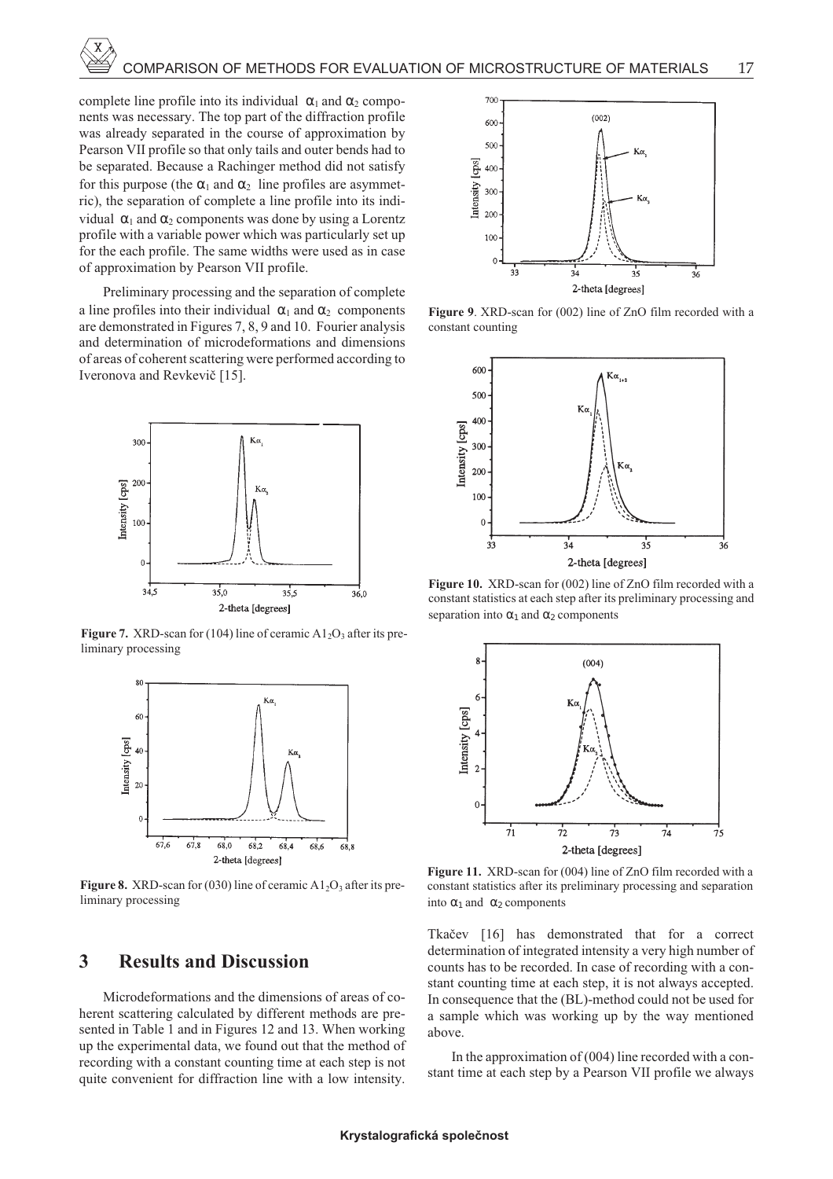complete line profile into its individual  $\alpha_1$  and  $\alpha_2$  components was necessary. The top part of the diffraction profile was already separated in the course of approximation by Pearson VII profile so that only tails and outer bends had to be separated. Because a Rachinger method did not satisfy for this purpose (the  $\alpha_1$  and  $\alpha_2$ ) line profiles are asymmetric), the separation of complete a line profile into its individual  $\alpha_1$  and  $\alpha_2$  components was done by using a Lorentz profile with a variable power which was particularly set up for the each profile. The same widths were used as in case of approximation by Pearson VII profile.

Preliminary processing and the separation of complete a line profiles into their individual  $\alpha_1$  and  $\alpha_2$  components are demonstrated in Figures 7, 8, 9 and 10. Fourier analysis and determination of microdeformations and dimensions of areas of coherent scattering were performed according to Iveronova and Revkeviè [15].



**Figure 7.** XRD-scan for (104) line of ceramic A1<sub>2</sub>O<sub>3</sub> after its preliminary processing



**Figure 8.** XRD-scan for (030) line of ceramic  $A1_2O_3$  after its preliminary processing

### **3 Results and Discussion**

Microdeformations and the dimensions of areas of coherent scattering calculated by different methods are presented in Table 1 and in Figures 12 and 13. When working up the experimental data, we found out that the method of recording with a constant counting time at each step is not quite convenient for diffraction line with a low intensity.



**Figure 9**. XRD-scan for (002) line of ZnO film recorded with a constant counting



**Figure 10.** XRD-scan for (002) line of ZnO film recorded with a constant statistics at each step after its preliminary processing and separation into  $\alpha_1$  and  $\alpha_2$  components



**Figure 11.** XRD-scan for (004) line of ZnO film recorded with a constant statistics after its preliminary processing and separation into  $\alpha_1$  and  $\alpha_2$  components

Tkaèev [16] has demonstrated that for a correct determination of integrated intensity a very high number of counts has to be recorded. In case of recording with a constant counting time at each step, it is not always accepted. In consequence that the (BL)-method could not be used for a sample which was working up by the way mentioned above.

In the approximation of (004) line recorded with a constant time at each step by a Pearson VII profile we always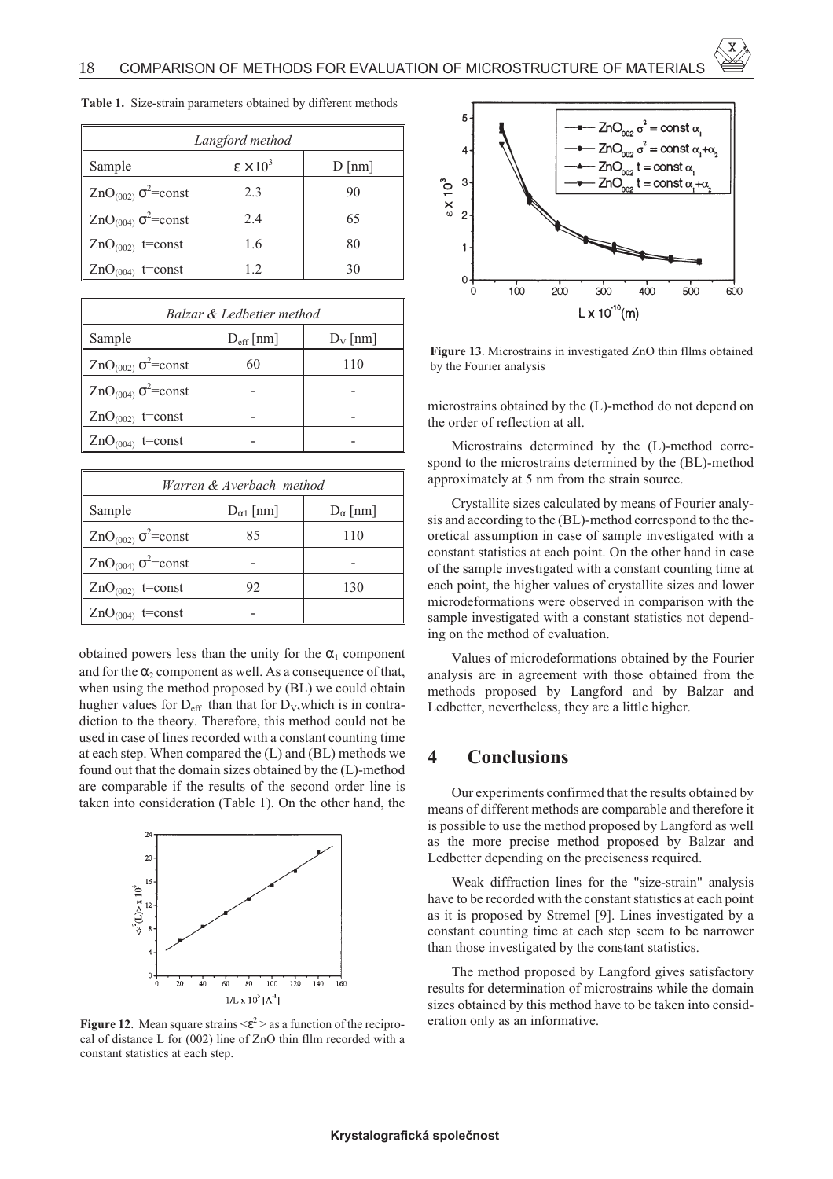| Langford method                 |                        |          |  |  |
|---------------------------------|------------------------|----------|--|--|
| Sample                          | $\epsilon \times 10^3$ | $D$ [nm] |  |  |
| $ZnO_{(002)}\sigma^2$ =const    | 2.3                    | 90       |  |  |
| $ZnO_{(004)}$ $\sigma^2$ =const | 2.4                    | 65       |  |  |
| $ZnO(002)$ t=const              | 1.6                    | 80       |  |  |
| $ZnO(004)$ t=const              | 1.2.                   | 30       |  |  |

**Table 1.** Size-strain parameters obtained by different methods

| Balzar & Ledbetter method    |                    |            |  |
|------------------------------|--------------------|------------|--|
| Sample                       | $D_{\rm eff}$   nm | $D_V$ [nm] |  |
| $ZnO_{(002)}\sigma^2$ =const | 60                 | 110        |  |
| $ZnO_{(004)}\sigma^2$ =const |                    |            |  |
| $ZnO(002)$ t=const           |                    |            |  |
| $ZnO(004)$ t=const           |                    |            |  |

| Warren & Averbach method     |                     |                  |  |  |
|------------------------------|---------------------|------------------|--|--|
| Sample                       | $D_{\alpha 1}$ [nm] | $D_{\alpha}$  nm |  |  |
| $ZnO_{(002)}\sigma^2$ =const | 85                  | 110              |  |  |
| $ZnO_{(004)}\sigma^2$ =const |                     |                  |  |  |
| $ZnO(002)$ t=const           | 92                  | 130              |  |  |
| $ZnO(004)$ t=const           |                     |                  |  |  |

obtained powers less than the unity for the  $\alpha_1$  component and for the  $\alpha_2$  component as well. As a consequence of that, when using the method proposed by (BL) we could obtain hugher values for  $D_{\text{eff}}$  than that for  $D_{V}$ , which is in contradiction to the theory. Therefore, this method could not be used in case of lines recorded with a constant counting time at each step. When compared the (L) and (BL) methods we found out that the domain sizes obtained by the (L)-method are comparable if the results of the second order line is taken into consideration (Table 1). On the other hand, the



**Figure 12.** Mean square strains  $\langle \epsilon^2 \rangle$  as a function of the reciprocal of distance L for (002) line of ZnO thin fllm recorded with a constant statistics at each step.



**Figure 13**. Microstrains in investigated ZnO thin fllms obtained by the Fourier analysis

microstrains obtained by the (L)-method do not depend on the order of reflection at all.

Microstrains determined by the (L)-method correspond to the microstrains determined by the (BL)-method approximately at 5 nm from the strain source.

Crystallite sizes calculated by means of Fourier analysis and according to the (BL)-method correspond to the theoretical assumption in case of sample investigated with a constant statistics at each point. On the other hand in case of the sample investigated with a constant counting time at each point, the higher values of crystallite sizes and lower microdeformations were observed in comparison with the sample investigated with a constant statistics not depending on the method of evaluation.

Values of microdeformations obtained by the Fourier analysis are in agreement with those obtained from the methods proposed by Langford and by Balzar and Ledbetter, nevertheless, they are a little higher.

## **4 Conclusions**

Our experiments confirmed that the results obtained by means of different methods are comparable and therefore it is possible to use the method proposed by Langford as well as the more precise method proposed by Balzar and Ledbetter depending on the preciseness required.

Weak diffraction lines for the "size-strain" analysis have to be recorded with the constant statistics at each point as it is proposed by Stremel [9]. Lines investigated by a constant counting time at each step seem to be narrower than those investigated by the constant statistics.

The method proposed by Langford gives satisfactory results for determination of microstrains while the domain sizes obtained by this method have to be taken into consideration only as an informative.